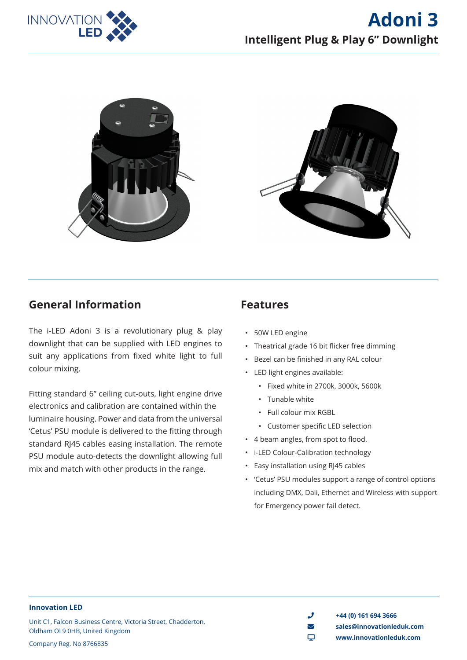



### **General Information**

The i-LED Adoni 3 is a revolutionary plug & play downlight that can be supplied with LED engines to suit any applications from fixed white light to full colour mixing.

Fitting standard 6" ceiling cut-outs, light engine drive electronics and calibration are contained within the luminaire housing. Power and data from the universal 'Cetus' PSU module is delivered to the fitting through standard RJ45 cables easing installation. The remote PSU module auto-detects the downlight allowing full mix and match with other products in the range.

### **Features**

- 50W LED engine
- Theatrical grade 16 bit flicker free dimming
- Bezel can be finished in any RAL colour
- LED light engines available:
	- Fixed white in 2700k, 3000k, 5600k
	- Tunable white
	- Full colour mix RGBL
	- Customer specific LED selection
- 4 beam angles, from spot to flood.
- i-LED Colour-Calibration technology
- Easy installation using RJ45 cables
- 'Cetus' PSU modules support a range of control options including DMX, Dali, Ethernet and Wireless with support for Emergency power fail detect.

#### **Innovation LED**

Unit C1, Falcon Business Centre, Victoria Street, Chadderton, Oldham OL9 0HB, United Kingdom Company Reg. No 8766835

 $\bigcup$  +44 (0) 161 694 3666 envelope **sales@innovationleduk.com** desktop **www.innovationleduk.com**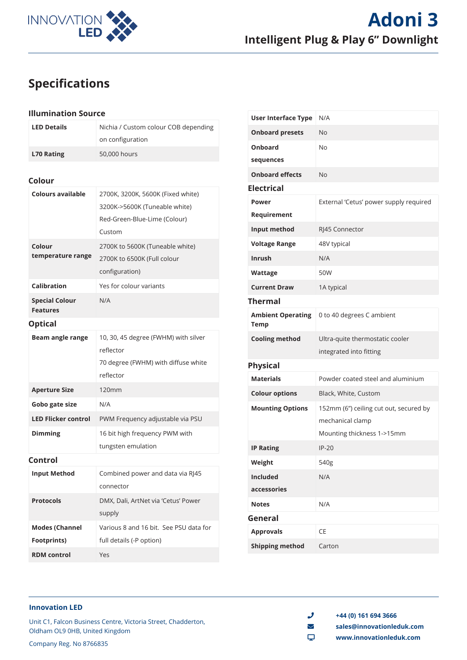

# **Specifications**

#### **Illumination Source**

| <b>LED Details</b>                          | Nichia / Custom colour COB depending<br>on configuration                                                     |
|---------------------------------------------|--------------------------------------------------------------------------------------------------------------|
| <b>L70 Rating</b>                           | 50,000 hours                                                                                                 |
| Colour                                      |                                                                                                              |
| <b>Colours available</b>                    | 2700K, 3200K, 5600K (Fixed white)<br>3200K->5600K (Tuneable white)<br>Red-Green-Blue-Lime (Colour)<br>Custom |
| Colour<br>temperature range                 | 2700K to 5600K (Tuneable white)<br>2700K to 6500K (Full colour<br>configuration)                             |
| Calibration                                 | Yes for colour variants                                                                                      |
| <b>Special Colour</b><br><b>Features</b>    | N/A                                                                                                          |
| <b>Optical</b>                              |                                                                                                              |
| Beam angle range                            | 10, 30, 45 degree (FWHM) with silver<br>reflector<br>70 degree (FWHM) with diffuse white<br>reflector        |
| <b>Aperture Size</b>                        | 120mm                                                                                                        |
| Gobo gate size                              | N/A                                                                                                          |
| <b>LED Flicker control</b>                  | PWM Frequency adjustable via PSU                                                                             |
| <b>Dimming</b>                              | 16 bit high frequency PWM with<br>tungsten emulation                                                         |
| Control                                     |                                                                                                              |
| <b>Input Method</b>                         | Combined power and data via RJ45<br>connector                                                                |
| <b>Protocols</b>                            | DMX, Dali, ArtNet via 'Cetus' Power<br>supply                                                                |
| <b>Modes (Channel</b><br><b>Footprints)</b> | Various 8 and 16 bit. See PSU data for<br>full details (-P option)                                           |
| <b>RDM</b> control                          | Yes                                                                                                          |
|                                             |                                                                                                              |

| <b>User Interface Type</b>              | N/A                                                        |
|-----------------------------------------|------------------------------------------------------------|
| <b>Onboard presets</b>                  | No                                                         |
| Onboard<br>sequences                    | <b>No</b>                                                  |
| <b>Onboard effects</b>                  | No                                                         |
| <b>Electrical</b>                       |                                                            |
| Power                                   | External 'Cetus' power supply required                     |
| Requirement                             |                                                            |
| Input method                            | RJ45 Connector                                             |
| <b>Voltage Range</b>                    | 48V typical                                                |
| <b>Inrush</b>                           | N/A                                                        |
| Wattage                                 | 50W                                                        |
| <b>Current Draw</b>                     | 1A typical                                                 |
| <b>Thermal</b>                          |                                                            |
| <b>Ambient Operating</b><br><b>Temp</b> | 0 to 40 degrees C ambient                                  |
| <b>Cooling method</b>                   | Ultra-quite thermostatic cooler                            |
|                                         | integrated into fitting                                    |
| <b>Physical</b>                         |                                                            |
| <b>Materials</b>                        | Powder coated steel and aluminium                          |
| <b>Colour options</b>                   | Black, White, Custom                                       |
| <b>Mounting Options</b>                 | 152mm (6") ceiling cut out, secured by<br>mechanical clamp |
|                                         | Mounting thickness 1->15mm                                 |
| <b>IP Rating</b>                        | $IP-20$                                                    |
| Weight                                  | 540g                                                       |
| <b>Included</b>                         | N/A                                                        |
| accessories                             |                                                            |
| <b>Notes</b>                            | N/A                                                        |
| General                                 |                                                            |
| <b>Approvals</b>                        | CE                                                         |
| <b>Shipping method</b>                  | Carton                                                     |

#### **Innovation LED**

Unit C1, Falcon Business Centre, Victoria Street, Chadderton, Oldham OL9 0HB, United Kingdom Company Reg. No 8766835

 $\bigcup$  +44 (0) 161 694 3666

envelope **sales@innovationleduk.com**

desktop **www.innovationleduk.com**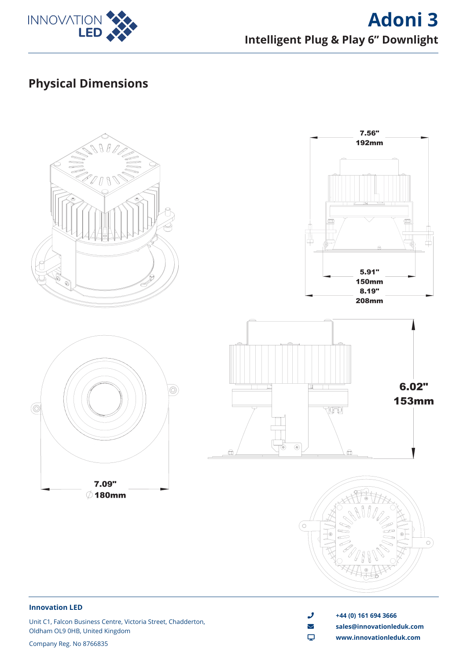

# **Adoni 3 Intelligent Plug & Play 6" Downlight**

# **Physical Dimensions**



#### **Innovation LED**

Unit C1, Falcon Business Centre, Victoria Street, Chadderton, Oldham OL9 0HB, United Kingdom

 $\frac{1}{2}$  +44 (0) 161 694 3666 envelope **sales@innovationleduk.com**

desktop **www.innovationleduk.com**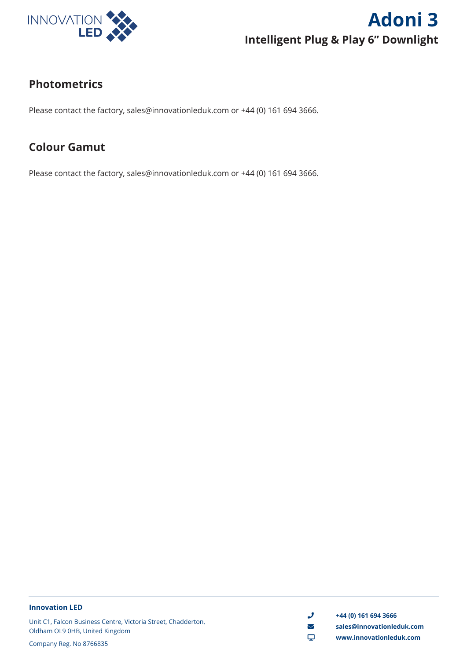

# **Photometrics**

Please contact the factory, sales@innovationleduk.com or +44 (0) 161 694 3666.

# **Colour Gamut**

Please contact the factory, sales@innovationleduk.com or +44 (0) 161 694 3666.

#### **Innovation LED**

Unit C1, Falcon Business Centre, Victoria Street, Chadderton, Oldham OL9 0HB, United Kingdom

Company Reg. No 8766835

 $\frac{1}{2}$  +44 (0) 161 694 3666

- envelope **sales@innovationleduk.com**
- desktop **www.innovationleduk.com**